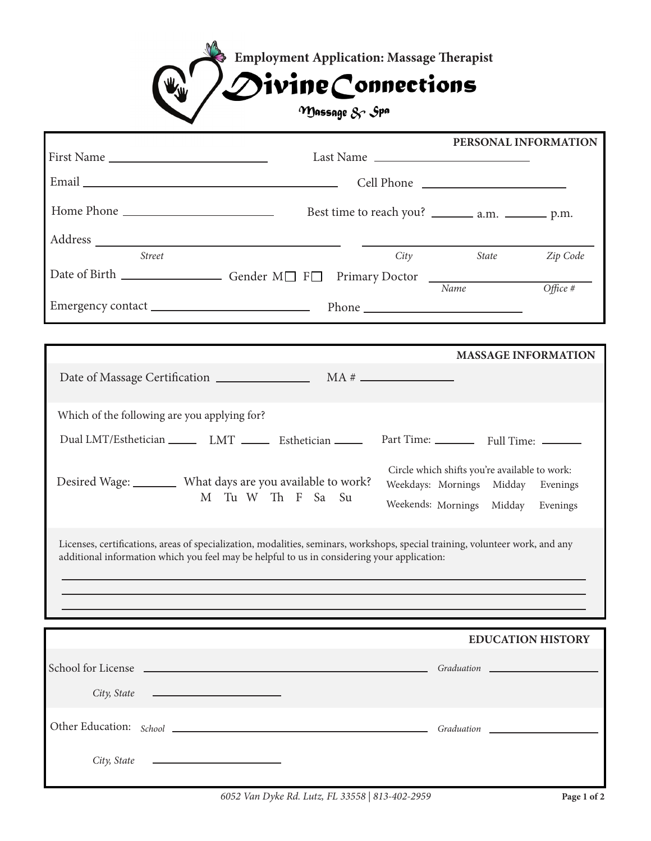

|                                                                                                                                                                                                                              |               |                |    |                                                         |                                                                                                                  |              | PERSONAL INFORMATION                 |  |
|------------------------------------------------------------------------------------------------------------------------------------------------------------------------------------------------------------------------------|---------------|----------------|----|---------------------------------------------------------|------------------------------------------------------------------------------------------------------------------|--------------|--------------------------------------|--|
| First Name                                                                                                                                                                                                                   |               |                |    | Last Name                                               |                                                                                                                  |              |                                      |  |
|                                                                                                                                                                                                                              |               |                |    |                                                         |                                                                                                                  |              |                                      |  |
|                                                                                                                                                                                                                              |               |                |    | Best time to reach you? _________ a.m. ___________ p.m. |                                                                                                                  |              |                                      |  |
|                                                                                                                                                                                                                              |               |                |    |                                                         |                                                                                                                  |              |                                      |  |
|                                                                                                                                                                                                                              | <b>Street</b> |                |    | City                                                    |                                                                                                                  | <i>State</i> | Zip Code                             |  |
|                                                                                                                                                                                                                              |               |                |    |                                                         |                                                                                                                  |              | Office #                             |  |
|                                                                                                                                                                                                                              |               |                |    |                                                         |                                                                                                                  |              |                                      |  |
|                                                                                                                                                                                                                              |               |                |    |                                                         |                                                                                                                  |              | <b>MASSAGE INFORMATION</b>           |  |
|                                                                                                                                                                                                                              |               |                |    |                                                         |                                                                                                                  |              |                                      |  |
| Which of the following are you applying for?                                                                                                                                                                                 |               |                |    |                                                         |                                                                                                                  |              |                                      |  |
| Dual LMT/Esthetician _______ LMT _______ Esthetician ______                                                                                                                                                                  |               |                |    |                                                         | Part Time: __________ Full Time: ________                                                                        |              |                                      |  |
| Desired Wage: ________ What days are you available to work?                                                                                                                                                                  |               | M Tu W Th F Sa | Su |                                                         | Circle which shifts you're available to work:<br>Weekdays: Mornings Midday<br>Weekends: Mornings Midday Evenings |              | Evenings                             |  |
| Licenses, certifications, areas of specialization, modalities, seminars, workshops, special training, volunteer work, and any<br>additional information which you feel may be helpful to us in considering your application: |               |                |    |                                                         |                                                                                                                  |              |                                      |  |
|                                                                                                                                                                                                                              |               |                |    |                                                         |                                                                                                                  |              |                                      |  |
|                                                                                                                                                                                                                              |               |                |    |                                                         |                                                                                                                  |              |                                      |  |
|                                                                                                                                                                                                                              |               |                |    |                                                         |                                                                                                                  |              | <b>EDUCATION HISTORY</b>             |  |
| School for License                                                                                                                                                                                                           |               |                |    |                                                         |                                                                                                                  |              | Graduation _________________________ |  |
|                                                                                                                                                                                                                              |               |                |    |                                                         |                                                                                                                  |              |                                      |  |
|                                                                                                                                                                                                                              |               |                |    |                                                         |                                                                                                                  |              |                                      |  |
|                                                                                                                                                                                                                              |               |                |    |                                                         |                                                                                                                  |              |                                      |  |